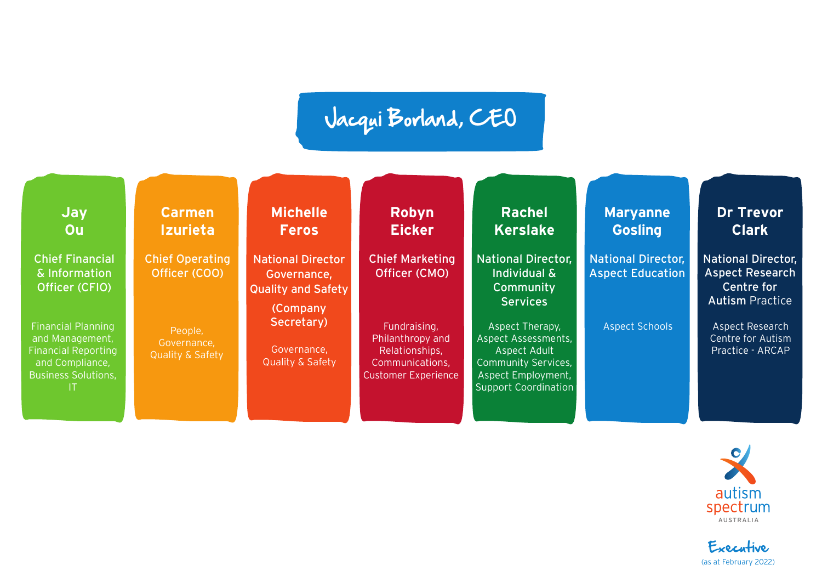## Jacqui Borland, CEO

| <b>Jay</b><br>Ou                                                                                                                 | <b>Carmen</b><br><b>Izurieta</b>                      | <b>Michelle</b><br><b>Feros</b>                                                        | Robyn<br><b>Eicker</b>                                                                              | <b>Rachel</b><br><b>Kerslake</b>                                                                                                          | <b>Maryanne</b><br><b>Gosling</b>                    | <b>Dr Trevor</b><br><b>Clark</b>                                                            |
|----------------------------------------------------------------------------------------------------------------------------------|-------------------------------------------------------|----------------------------------------------------------------------------------------|-----------------------------------------------------------------------------------------------------|-------------------------------------------------------------------------------------------------------------------------------------------|------------------------------------------------------|---------------------------------------------------------------------------------------------|
| <b>Chief Financial</b><br>& Information<br>Officer (CFIO)                                                                        | <b>Chief Operating</b><br>Officer (COO)               | <b>National Director</b><br>Governance,<br><b>Quality and Safety</b><br><b>Company</b> | <b>Chief Marketing</b><br>Officer (CMO)                                                             | <b>National Director,</b><br>Individual &<br>Community<br><b>Services</b>                                                                 | <b>National Director,</b><br><b>Aspect Education</b> | <b>National Director,</b><br><b>Aspect Research</b><br>Centre for<br><b>Autism Practice</b> |
| <b>Financial Planning</b><br>and Management,<br><b>Financial Reporting</b><br>and Compliance,<br><b>Business Solutions,</b><br>H | People,<br>Governance,<br><b>Quality &amp; Safety</b> | Secretary)<br>Governance,<br><b>Quality &amp; Safety</b>                               | Fundraising,<br>Philanthropy and<br>Relationships,<br>Communications,<br><b>Customer Experience</b> | Aspect Therapy,<br>Aspect Assessments,<br>Aspect Adult<br><b>Community Services,</b><br>Aspect Employment,<br><b>Support Coordination</b> | <b>Aspect Schools</b>                                | Aspect Research<br>Centre for Autism<br>Practice - ARCAP                                    |